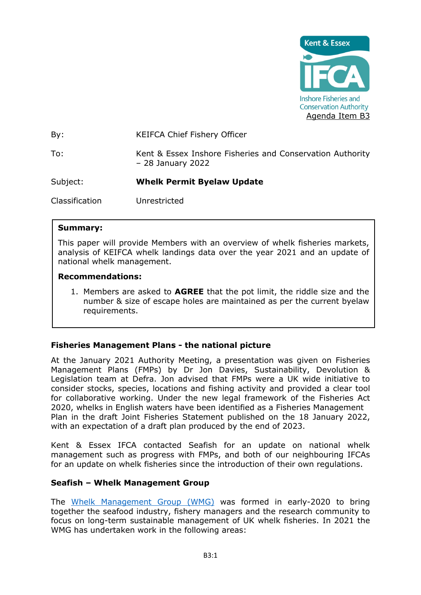

By: KEIFCA Chief Fishery Officer To: Kent & Essex Inshore Fisheries and Conservation Authority – 28 January 2022 Subject: **Whelk Permit Byelaw Update** Classification Unrestricted

## **Summary:**

This paper will provide Members with an overview of whelk fisheries markets, analysis of KEIFCA whelk landings data over the year 2021 and an update of national whelk management.

#### **Recommendations:**

1. Members are asked to **AGREE** that the pot limit, the riddle size and the number & size of escape holes are maintained as per the current byelaw requirements.

### **Fisheries Management Plans - the national picture**

At the January 2021 Authority Meeting, a presentation was given on Fisheries Management Plans (FMPs) by Dr Jon Davies, Sustainability, Devolution & Legislation team at Defra. Jon advised that FMPs were a UK wide initiative to consider stocks, species, locations and fishing activity and provided a clear tool for collaborative working. Under the new legal framework of the Fisheries Act 2020, whelks in English waters have been identified as a Fisheries Management Plan in the draft Joint Fisheries Statement published on the 18 January 2022, with an expectation of a draft plan produced by the end of 2023.

Kent & Essex IFCA contacted Seafish for an update on national whelk management such as progress with FMPs, and both of our neighbouring IFCAs for an update on whelk fisheries since the introduction of their own regulations.

### **Seafish – Whelk Management Group**

The [Whelk Management Group \(WMG\)](https://www.seafish.org/responsible-sourcing/fisheries-management/whelk-management-group/) was formed in early-2020 to bring together the seafood industry, fishery managers and the research community to focus on long-term sustainable management of UK whelk fisheries. In 2021 the WMG has undertaken work in the following areas: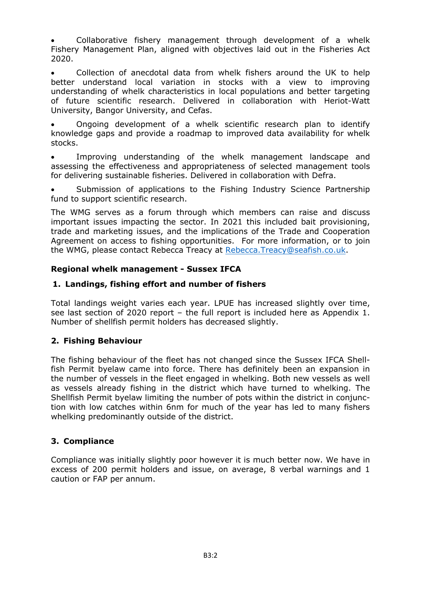• Collaborative fishery management through development of a whelk Fishery Management Plan, aligned with objectives laid out in the Fisheries Act 2020.

• Collection of anecdotal data from whelk fishers around the UK to help better understand local variation in stocks with a view to improving understanding of whelk characteristics in local populations and better targeting of future scientific research. Delivered in collaboration with Heriot-Watt University, Bangor University, and Cefas.

• Ongoing development of a whelk scientific research plan to identify knowledge gaps and provide a roadmap to improved data availability for whelk stocks.

• Improving understanding of the whelk management landscape and assessing the effectiveness and appropriateness of selected management tools for delivering sustainable fisheries. Delivered in collaboration with Defra.

Submission of applications to the Fishing Industry Science Partnership fund to support scientific research.

The WMG serves as a forum through which members can raise and discuss important issues impacting the sector. In 2021 this included bait provisioning, trade and marketing issues, and the implications of the Trade and Cooperation Agreement on access to fishing opportunities. For more information, or to join the WMG, please contact Rebecca Treacy at [Rebecca.Treacy@seafish.co.uk.](mailto:Rebecca.Treacy@seafish.co.uk)

## **Regional whelk management - Sussex IFCA**

## **1. Landings, fishing effort and number of fishers**

Total landings weight varies each year. LPUE has increased slightly over time, see last section of 2020 report – the full report is included here as Appendix 1. Number of shellfish permit holders has decreased slightly.

# **2. Fishing Behaviour**

The fishing behaviour of the fleet has not changed since the Sussex IFCA Shellfish Permit byelaw came into force. There has definitely been an expansion in the number of vessels in the fleet engaged in whelking. Both new vessels as well as vessels already fishing in the district which have turned to whelking. The Shellfish Permit byelaw limiting the number of pots within the district in conjunction with low catches within 6nm for much of the year has led to many fishers whelking predominantly outside of the district.

### **3. Compliance**

Compliance was initially slightly poor however it is much better now. We have in excess of 200 permit holders and issue, on average, 8 verbal warnings and 1 caution or FAP per annum.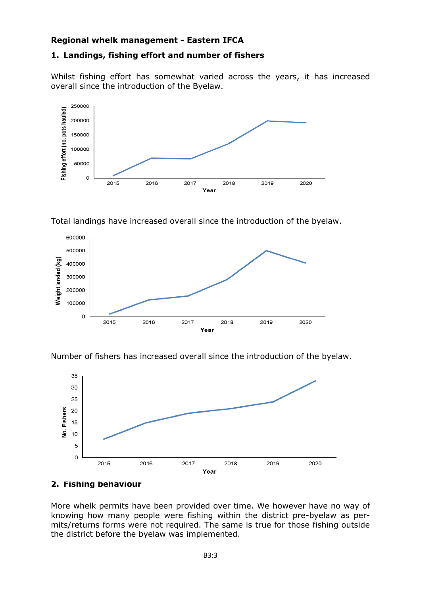## **Regional whelk management - Eastern IFCA**

## **1. Landings, fishing effort and number of fishers**

Whilst fishing effort has somewhat varied across the years, it has increased overall since the introduction of the Byelaw.



Total landings have increased overall since the introduction of the byelaw.



Number of fishers has increased overall since the introduction of the byelaw.



### **2. Fishing behaviour**

More whelk permits have been provided over time. We however have no way of knowing how many people were fishing within the district pre-byelaw as permits/returns forms were not required. The same is true for those fishing outside the district before the byelaw was implemented.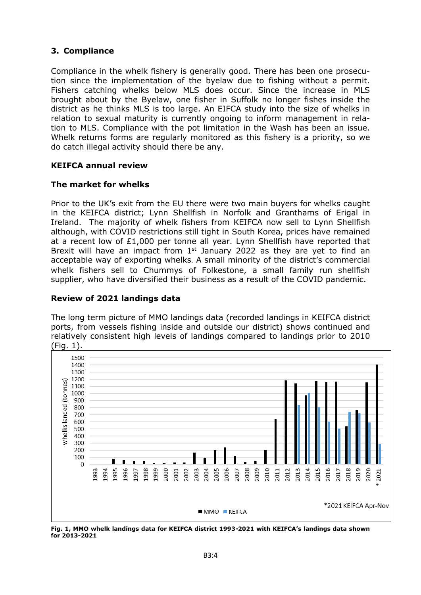# **3. Compliance**

Compliance in the whelk fishery is generally good. There has been one prosecution since the implementation of the byelaw due to fishing without a permit. Fishers catching whelks below MLS does occur. Since the increase in MLS brought about by the Byelaw, one fisher in Suffolk no longer fishes inside the district as he thinks MLS is too large. An EIFCA study into the size of whelks in relation to sexual maturity is currently ongoing to inform management in relation to MLS. Compliance with the pot limitation in the Wash has been an issue. Whelk returns forms are regularly monitored as this fishery is a priority, so we do catch illegal activity should there be any.

### **KEIFCA annual review**

#### **The market for whelks**

Prior to the UK's exit from the EU there were two main buyers for whelks caught in the KEIFCA district; Lynn Shellfish in Norfolk and Granthams of Erigal in Ireland. The majority of whelk fishers from KEIFCA now sell to Lynn Shellfish although, with COVID restrictions still tight in South Korea, prices have remained at a recent low of £1,000 per tonne all year. Lynn Shellfish have reported that Brexit will have an impact from  $1<sup>st</sup>$  January 2022 as they are yet to find an acceptable way of exporting whelks. A small minority of the district's commercial whelk fishers sell to Chummys of Folkestone, a small family run shellfish supplier, who have diversified their business as a result of the COVID pandemic.

#### **Review of 2021 landings data**

The long term picture of MMO landings data (recorded landings in KEIFCA district ports, from vessels fishing inside and outside our district) shows continued and relatively consistent high levels of landings compared to landings prior to 2010 (Fig. 1).



**Fig. 1, MMO whelk landings data for KEIFCA district 1993-2021 with KEIFCA's landings data shown for 2013-2021**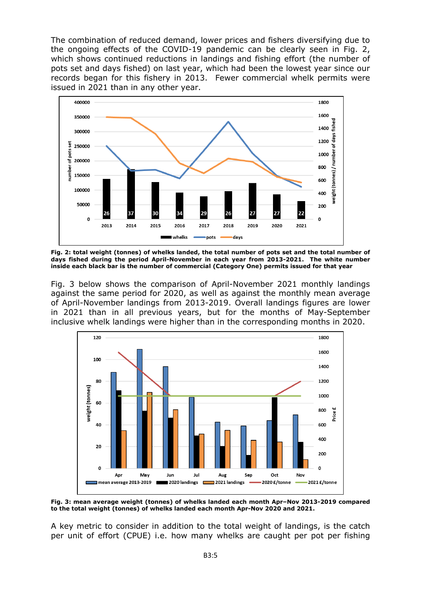The combination of reduced demand, lower prices and fishers diversifying due to the ongoing effects of the COVID-19 pandemic can be clearly seen in Fig. 2, which shows continued reductions in landings and fishing effort (the number of pots set and days fished) on last year, which had been the lowest year since our records began for this fishery in 2013. Fewer commercial whelk permits were issued in 2021 than in any other year.



**Fig. 2: total weight (tonnes) of whelks landed, the total number of pots set and the total number of days fished during the period April-November in each year from 2013-2021. The white number inside each black bar is the number of commercial (Category One) permits issued for that year**

Fig. 3 below shows the comparison of April-November 2021 monthly landings against the same period for 2020, as well as against the monthly mean average of April-November landings from 2013-2019. Overall landings figures are lower in 2021 than in all previous years, but for the months of May-September inclusive whelk landings were higher than in the corresponding months in 2020.



**Fig. 3: mean average weight (tonnes) of whelks landed each month Apr–Nov 2013-2019 compared to the total weight (tonnes) of whelks landed each month Apr-Nov 2020 and 2021.** 

A key metric to consider in addition to the total weight of landings, is the catch per unit of effort (CPUE) i.e. how many whelks are caught per pot per fishing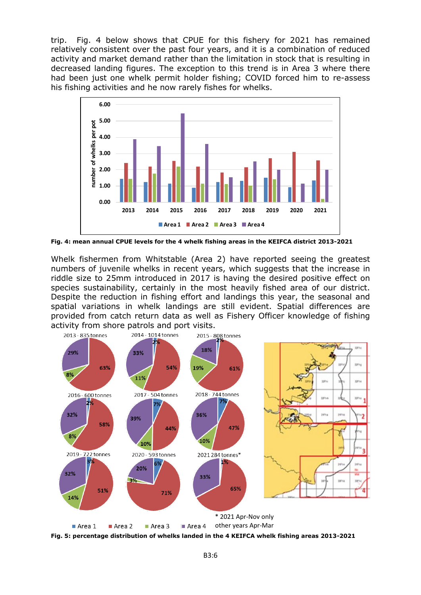trip. Fig. 4 below shows that CPUE for this fishery for 2021 has remained relatively consistent over the past four years, and it is a combination of reduced activity and market demand rather than the limitation in stock that is resulting in decreased landing figures. The exception to this trend is in Area 3 where there had been just one whelk permit holder fishing; COVID forced him to re-assess his fishing activities and he now rarely fishes for whelks.



**Fig. 4: mean annual CPUE levels for the 4 whelk fishing areas in the KEIFCA district 2013-2021**

Whelk fishermen from Whitstable (Area 2) have reported seeing the greatest numbers of juvenile whelks in recent years, which suggests that the increase in riddle size to 25mm introduced in 2017 is having the desired positive effect on species sustainability, certainly in the most heavily fished area of our district. Despite the reduction in fishing effort and landings this year, the seasonal and spatial variations in whelk landings are still evident. Spatial differences are provided from catch return data as well as Fishery Officer knowledge of fishing activity from shore patrols and port visits.



**Fig. 5: percentage distribution of whelks landed in the 4 KEIFCA whelk fishing areas 2013-2021**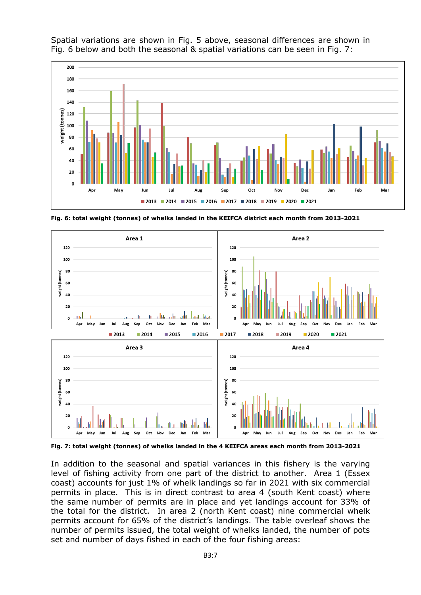

Spatial variations are shown in Fig. 5 above, seasonal differences are shown in Fig. 6 below and both the seasonal & spatial variations can be seen in Fig. 7:

**Fig. 6: total weight (tonnes) of whelks landed in the KEIFCA district each month from 2013-2021**



**Fig. 7: total weight (tonnes) of whelks landed in the 4 KEIFCA areas each month from 2013-2021**

In addition to the seasonal and spatial variances in this fishery is the varying level of fishing activity from one part of the district to another. Area 1 (Essex coast) accounts for just 1% of whelk landings so far in 2021 with six commercial permits in place. This is in direct contrast to area 4 (south Kent coast) where the same number of permits are in place and yet landings account for 33% of the total for the district. In area 2 (north Kent coast) nine commercial whelk permits account for 65% of the district's landings. The table overleaf shows the number of permits issued, the total weight of whelks landed, the number of pots set and number of days fished in each of the four fishing areas: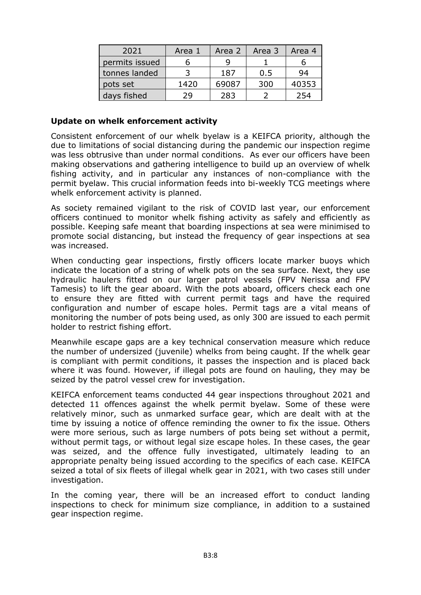| 2021           | Area 1 | Area 2 | Area 3 | Area 4 |
|----------------|--------|--------|--------|--------|
| permits issued |        |        |        |        |
| tonnes landed  |        | 187    | 0.5    | 94     |
| pots set       | 1420   | 69087  | 300    | 40353  |
| days fished    | 29     | 283    |        |        |

#### **Update on whelk enforcement activity**

Consistent enforcement of our whelk byelaw is a KEIFCA priority, although the due to limitations of social distancing during the pandemic our inspection regime was less obtrusive than under normal conditions. As ever our officers have been making observations and gathering intelligence to build up an overview of whelk fishing activity, and in particular any instances of non-compliance with the permit byelaw. This crucial information feeds into bi-weekly TCG meetings where whelk enforcement activity is planned.

As society remained vigilant to the risk of COVID last year, our enforcement officers continued to monitor whelk fishing activity as safely and efficiently as possible. Keeping safe meant that boarding inspections at sea were minimised to promote social distancing, but instead the frequency of gear inspections at sea was increased.

When conducting gear inspections, firstly officers locate marker buoys which indicate the location of a string of whelk pots on the sea surface. Next, they use hydraulic haulers fitted on our larger patrol vessels (FPV Nerissa and FPV Tamesis) to lift the gear aboard. With the pots aboard, officers check each one to ensure they are fitted with current permit tags and have the required configuration and number of escape holes. Permit tags are a vital means of monitoring the number of pots being used, as only 300 are issued to each permit holder to restrict fishing effort.

Meanwhile escape gaps are a key technical conservation measure which reduce the number of undersized (juvenile) whelks from being caught. If the whelk gear is compliant with permit conditions, it passes the inspection and is placed back where it was found. However, if illegal pots are found on hauling, they may be seized by the patrol vessel crew for investigation.

KEIFCA enforcement teams conducted 44 gear inspections throughout 2021 and detected 11 offences against the whelk permit byelaw. Some of these were relatively minor, such as unmarked surface gear, which are dealt with at the time by issuing a notice of offence reminding the owner to fix the issue. Others were more serious, such as large numbers of pots being set without a permit, without permit tags, or without legal size escape holes. In these cases, the gear was seized, and the offence fully investigated, ultimately leading to an appropriate penalty being issued according to the specifics of each case. KEIFCA seized a total of six fleets of illegal whelk gear in 2021, with two cases still under investigation.

In the coming year, there will be an increased effort to conduct landing inspections to check for minimum size compliance, in addition to a sustained gear inspection regime.